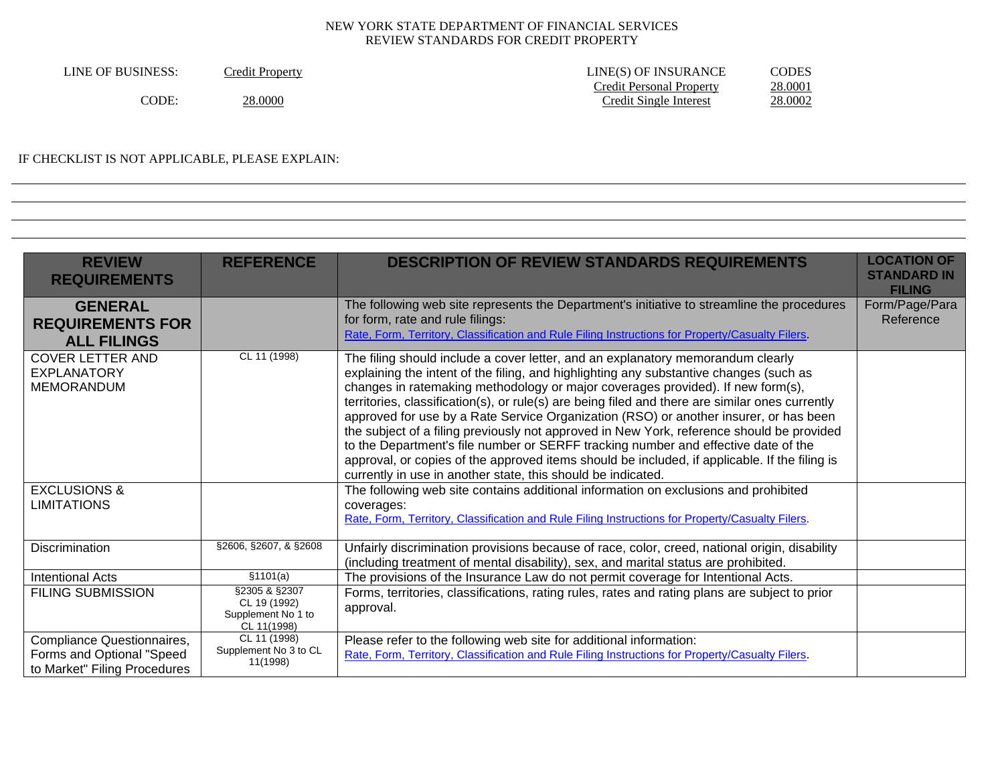| LINE OF BUSINESS: | <b>Tredit Property</b> | LINE(S) OF INSURANCE     | CODES   |
|-------------------|------------------------|--------------------------|---------|
|                   |                        | Credit Personal Property | 28.0001 |
| CODE.             | 28.0000                | Credit Single Interest   | 28.0002 |

#### IF CHECKLIST IS NOT APPLICABLE, PLEASE EXPLAIN:

| <b>REVIEW</b><br><b>REQUIREMENTS</b>                                                    | <b>REFERENCE</b>                                                   | <b>DESCRIPTION OF REVIEW STANDARDS REQUIREMENTS</b>                                                                                                                                                                                                                                                                                                                                                                                                                                                                                                                                                                                                                                                                                                                                                          | <b>LOCATION OF</b><br><b>STANDARD IN</b><br><b>FILING</b> |
|-----------------------------------------------------------------------------------------|--------------------------------------------------------------------|--------------------------------------------------------------------------------------------------------------------------------------------------------------------------------------------------------------------------------------------------------------------------------------------------------------------------------------------------------------------------------------------------------------------------------------------------------------------------------------------------------------------------------------------------------------------------------------------------------------------------------------------------------------------------------------------------------------------------------------------------------------------------------------------------------------|-----------------------------------------------------------|
| <b>GENERAL</b><br><b>REQUIREMENTS FOR</b><br><b>ALL FILINGS</b>                         |                                                                    | The following web site represents the Department's initiative to streamline the procedures<br>for form, rate and rule filings:<br>Rate, Form, Territory, Classification and Rule Filing Instructions for Property/Casualty Filers.                                                                                                                                                                                                                                                                                                                                                                                                                                                                                                                                                                           | Form/Page/Para<br>Reference                               |
| <b>COVER LETTER AND</b><br><b>EXPLANATORY</b><br><b>MEMORANDUM</b>                      | CL 11 (1998)                                                       | The filing should include a cover letter, and an explanatory memorandum clearly<br>explaining the intent of the filing, and highlighting any substantive changes (such as<br>changes in ratemaking methodology or major coverages provided). If new form(s),<br>territories, classification(s), or rule(s) are being filed and there are similar ones currently<br>approved for use by a Rate Service Organization (RSO) or another insurer, or has been<br>the subject of a filing previously not approved in New York, reference should be provided<br>to the Department's file number or SERFF tracking number and effective date of the<br>approval, or copies of the approved items should be included, if applicable. If the filing is<br>currently in use in another state, this should be indicated. |                                                           |
| <b>EXCLUSIONS &amp;</b><br><b>LIMITATIONS</b>                                           |                                                                    | The following web site contains additional information on exclusions and prohibited<br>coverages:<br>Rate, Form, Territory, Classification and Rule Filing Instructions for Property/Casualty Filers.                                                                                                                                                                                                                                                                                                                                                                                                                                                                                                                                                                                                        |                                                           |
| Discrimination                                                                          | §2606, §2607, & §2608                                              | Unfairly discrimination provisions because of race, color, creed, national origin, disability<br>(including treatment of mental disability), sex, and marital status are prohibited.                                                                                                                                                                                                                                                                                                                                                                                                                                                                                                                                                                                                                         |                                                           |
| <b>Intentional Acts</b>                                                                 | \$1101(a)                                                          | The provisions of the Insurance Law do not permit coverage for Intentional Acts.                                                                                                                                                                                                                                                                                                                                                                                                                                                                                                                                                                                                                                                                                                                             |                                                           |
| <b>FILING SUBMISSION</b>                                                                | §2305 & §2307<br>CL 19 (1992)<br>Supplement No 1 to<br>CL 11(1998) | Forms, territories, classifications, rating rules, rates and rating plans are subject to prior<br>approval.                                                                                                                                                                                                                                                                                                                                                                                                                                                                                                                                                                                                                                                                                                  |                                                           |
| Compliance Questionnaires,<br>Forms and Optional "Speed<br>to Market" Filing Procedures | CL 11 (1998)<br>Supplement No 3 to CL<br>11(1998)                  | Please refer to the following web site for additional information:<br>Rate, Form, Territory, Classification and Rule Filing Instructions for Property/Casualty Filers.                                                                                                                                                                                                                                                                                                                                                                                                                                                                                                                                                                                                                                       |                                                           |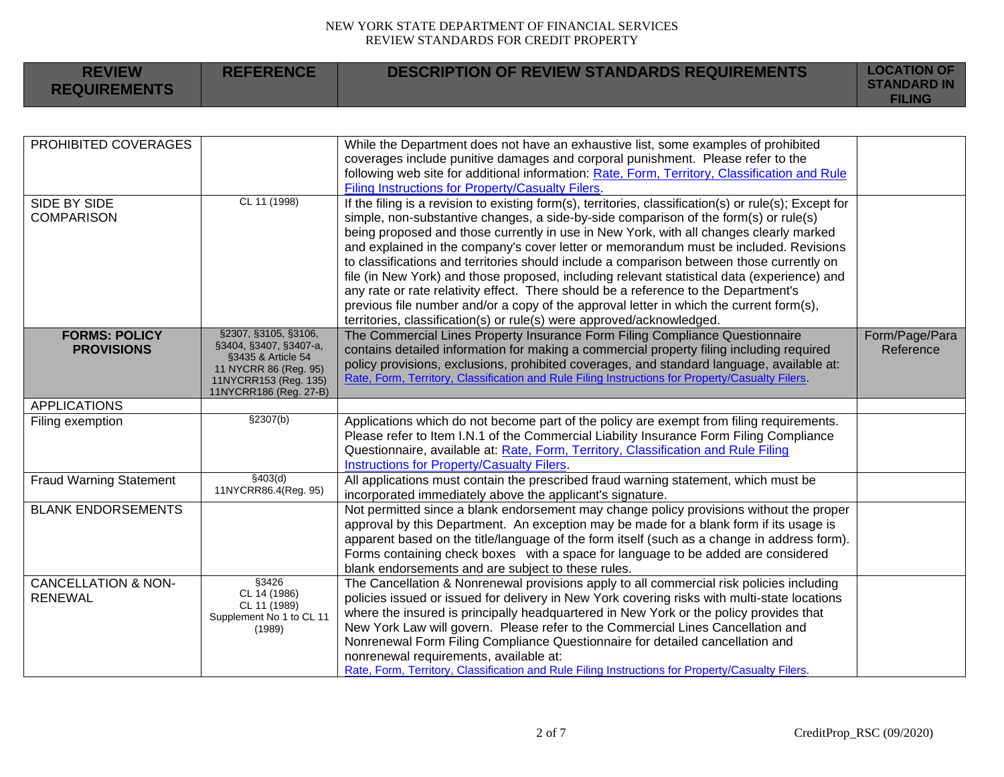| <b>REVIEW</b><br><b>REQUIREMENTS</b>             | <b>REFERENCE</b>                                                                                                                                 | <b>DESCRIPTION OF REVIEW STANDARDS REQUIREMENTS</b>                                                                                                                                                                                                                                                                                                                                                                                                                                                                                                                                                                                                                                                                                                                                                                                      | <b>LOCATION OF</b><br><b>STANDARD IN</b><br><b>FILING</b> |
|--------------------------------------------------|--------------------------------------------------------------------------------------------------------------------------------------------------|------------------------------------------------------------------------------------------------------------------------------------------------------------------------------------------------------------------------------------------------------------------------------------------------------------------------------------------------------------------------------------------------------------------------------------------------------------------------------------------------------------------------------------------------------------------------------------------------------------------------------------------------------------------------------------------------------------------------------------------------------------------------------------------------------------------------------------------|-----------------------------------------------------------|
|                                                  |                                                                                                                                                  |                                                                                                                                                                                                                                                                                                                                                                                                                                                                                                                                                                                                                                                                                                                                                                                                                                          |                                                           |
| PROHIBITED COVERAGES                             |                                                                                                                                                  | While the Department does not have an exhaustive list, some examples of prohibited<br>coverages include punitive damages and corporal punishment. Please refer to the<br>following web site for additional information: Rate, Form, Territory, Classification and Rule<br>Filing Instructions for Property/Casualty Filers.                                                                                                                                                                                                                                                                                                                                                                                                                                                                                                              |                                                           |
| SIDE BY SIDE<br><b>COMPARISON</b>                | CL 11 (1998)                                                                                                                                     | If the filing is a revision to existing form(s), territories, classification(s) or rule(s); Except for<br>simple, non-substantive changes, a side-by-side comparison of the form(s) or rule(s)<br>being proposed and those currently in use in New York, with all changes clearly marked<br>and explained in the company's cover letter or memorandum must be included. Revisions<br>to classifications and territories should include a comparison between those currently on<br>file (in New York) and those proposed, including relevant statistical data (experience) and<br>any rate or rate relativity effect. There should be a reference to the Department's<br>previous file number and/or a copy of the approval letter in which the current form(s),<br>territories, classification(s) or rule(s) were approved/acknowledged. |                                                           |
| <b>FORMS: POLICY</b><br><b>PROVISIONS</b>        | §2307, §3105, §3106,<br>§3404, §3407, §3407-a,<br>§3435 & Article 54<br>11 NYCRR 86 (Reg. 95)<br>11NYCRR153 (Reg. 135)<br>11NYCRR186 (Reg. 27-B) | The Commercial Lines Property Insurance Form Filing Compliance Questionnaire<br>contains detailed information for making a commercial property filing including required<br>policy provisions, exclusions, prohibited coverages, and standard language, available at:<br>Rate, Form, Territory, Classification and Rule Filing Instructions for Property/Casualty Filers.                                                                                                                                                                                                                                                                                                                                                                                                                                                                | Form/Page/Para<br>Reference                               |
| <b>APPLICATIONS</b>                              |                                                                                                                                                  |                                                                                                                                                                                                                                                                                                                                                                                                                                                                                                                                                                                                                                                                                                                                                                                                                                          |                                                           |
| Filing exemption                                 | \$2307(b)                                                                                                                                        | Applications which do not become part of the policy are exempt from filing requirements.<br>Please refer to Item I.N.1 of the Commercial Liability Insurance Form Filing Compliance<br>Questionnaire, available at: Rate, Form, Territory, Classification and Rule Filing<br><b>Instructions for Property/Casualty Filers.</b>                                                                                                                                                                                                                                                                                                                                                                                                                                                                                                           |                                                           |
| <b>Fraud Warning Statement</b>                   | \$403(d)<br>11NYCRR86.4(Reg. 95)                                                                                                                 | All applications must contain the prescribed fraud warning statement, which must be<br>incorporated immediately above the applicant's signature.                                                                                                                                                                                                                                                                                                                                                                                                                                                                                                                                                                                                                                                                                         |                                                           |
| <b>BLANK ENDORSEMENTS</b>                        |                                                                                                                                                  | Not permitted since a blank endorsement may change policy provisions without the proper<br>approval by this Department. An exception may be made for a blank form if its usage is<br>apparent based on the title/language of the form itself (such as a change in address form).<br>Forms containing check boxes with a space for language to be added are considered<br>blank endorsements and are subject to these rules.                                                                                                                                                                                                                                                                                                                                                                                                              |                                                           |
| <b>CANCELLATION &amp; NON-</b><br><b>RENEWAL</b> | \$3426<br>CL 14 (1986)<br>CL 11 (1989)<br>Supplement No 1 to CL 11<br>(1989)                                                                     | The Cancellation & Nonrenewal provisions apply to all commercial risk policies including<br>policies issued or issued for delivery in New York covering risks with multi-state locations<br>where the insured is principally headquartered in New York or the policy provides that<br>New York Law will govern. Please refer to the Commercial Lines Cancellation and<br>Nonrenewal Form Filing Compliance Questionnaire for detailed cancellation and<br>nonrenewal requirements, available at:<br>Rate, Form, Territory, Classification and Rule Filing Instructions for Property/Casualty Filers.                                                                                                                                                                                                                                     |                                                           |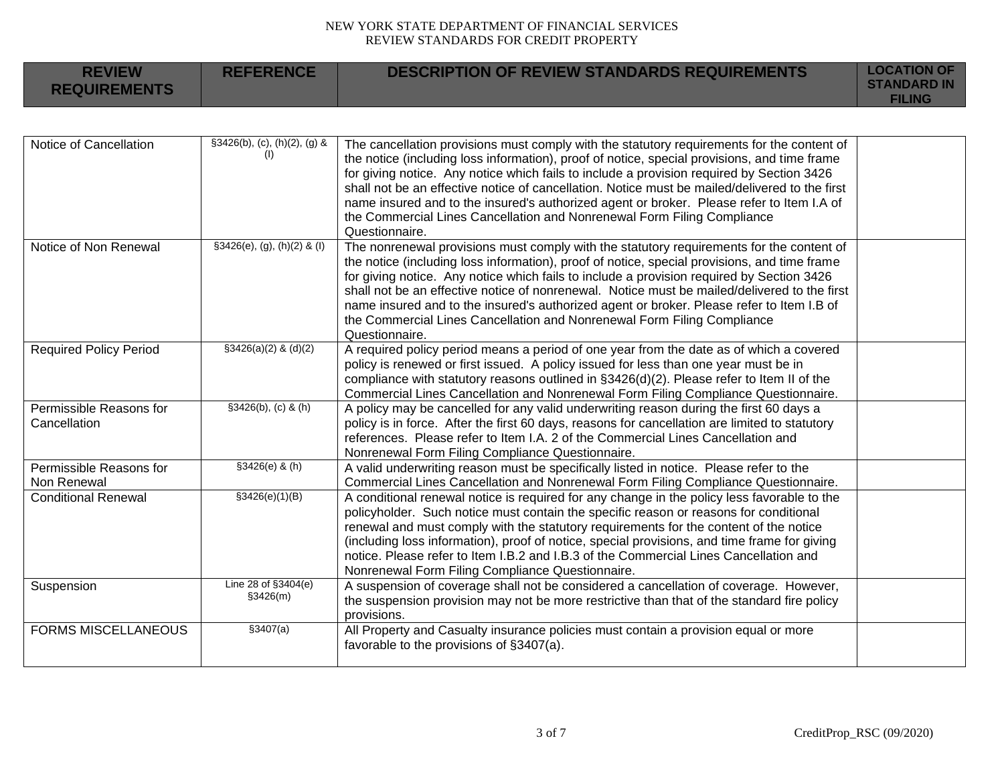| <b>REVIEW</b><br><b>REQUIREMENTS</b>    | <b>REFERENCE</b>                    | <b>DESCRIPTION OF REVIEW STANDARDS REQUIREMENTS</b>                                                                                                                                                                                                                                                                                                                                                                                                                                                                                                                                 | <b>LOCATION OF</b><br><b>STANDARD IN</b><br><b>FILING</b> |
|-----------------------------------------|-------------------------------------|-------------------------------------------------------------------------------------------------------------------------------------------------------------------------------------------------------------------------------------------------------------------------------------------------------------------------------------------------------------------------------------------------------------------------------------------------------------------------------------------------------------------------------------------------------------------------------------|-----------------------------------------------------------|
|                                         |                                     |                                                                                                                                                                                                                                                                                                                                                                                                                                                                                                                                                                                     |                                                           |
| Notice of Cancellation                  | §3426(b), (c), (h)(2), (g) &<br>(1) | The cancellation provisions must comply with the statutory requirements for the content of<br>the notice (including loss information), proof of notice, special provisions, and time frame<br>for giving notice. Any notice which fails to include a provision required by Section 3426<br>shall not be an effective notice of cancellation. Notice must be mailed/delivered to the first<br>name insured and to the insured's authorized agent or broker. Please refer to Item I.A of<br>the Commercial Lines Cancellation and Nonrenewal Form Filing Compliance<br>Questionnaire. |                                                           |
| Notice of Non Renewal                   | $§3426(e), (g), (h)(2)$ & (I)       | The nonrenewal provisions must comply with the statutory requirements for the content of<br>the notice (including loss information), proof of notice, special provisions, and time frame<br>for giving notice. Any notice which fails to include a provision required by Section 3426<br>shall not be an effective notice of nonrenewal. Notice must be mailed/delivered to the first<br>name insured and to the insured's authorized agent or broker. Please refer to Item I.B of<br>the Commercial Lines Cancellation and Nonrenewal Form Filing Compliance<br>Questionnaire.     |                                                           |
| <b>Required Policy Period</b>           | $$3426(a)(2)$ & (d)(2)              | A required policy period means a period of one year from the date as of which a covered<br>policy is renewed or first issued. A policy issued for less than one year must be in<br>compliance with statutory reasons outlined in $\S 3426(d)(2)$ . Please refer to Item II of the<br>Commercial Lines Cancellation and Nonrenewal Form Filing Compliance Questionnaire.                                                                                                                                                                                                             |                                                           |
| Permissible Reasons for<br>Cancellation | $$3426(b), (c)$ & (h)               | A policy may be cancelled for any valid underwriting reason during the first 60 days a<br>policy is in force. After the first 60 days, reasons for cancellation are limited to statutory<br>references. Please refer to Item I.A. 2 of the Commercial Lines Cancellation and<br>Nonrenewal Form Filing Compliance Questionnaire.                                                                                                                                                                                                                                                    |                                                           |
| Permissible Reasons for<br>Non Renewal  | $$3426(e)$ & (h)                    | A valid underwriting reason must be specifically listed in notice. Please refer to the<br>Commercial Lines Cancellation and Nonrenewal Form Filing Compliance Questionnaire.                                                                                                                                                                                                                                                                                                                                                                                                        |                                                           |
| <b>Conditional Renewal</b>              | \$3426(e)(1)(B)                     | A conditional renewal notice is required for any change in the policy less favorable to the<br>policyholder. Such notice must contain the specific reason or reasons for conditional<br>renewal and must comply with the statutory requirements for the content of the notice<br>(including loss information), proof of notice, special provisions, and time frame for giving<br>notice. Please refer to Item I.B.2 and I.B.3 of the Commercial Lines Cancellation and<br>Nonrenewal Form Filing Compliance Questionnaire.                                                          |                                                           |
| Suspension                              | Line 28 of §3404(e)<br>\$3426(m)    | A suspension of coverage shall not be considered a cancellation of coverage. However,<br>the suspension provision may not be more restrictive than that of the standard fire policy<br>provisions.                                                                                                                                                                                                                                                                                                                                                                                  |                                                           |
| <b>FORMS MISCELLANEOUS</b>              | \$3407(a)                           | All Property and Casualty insurance policies must contain a provision equal or more<br>favorable to the provisions of §3407(a).                                                                                                                                                                                                                                                                                                                                                                                                                                                     |                                                           |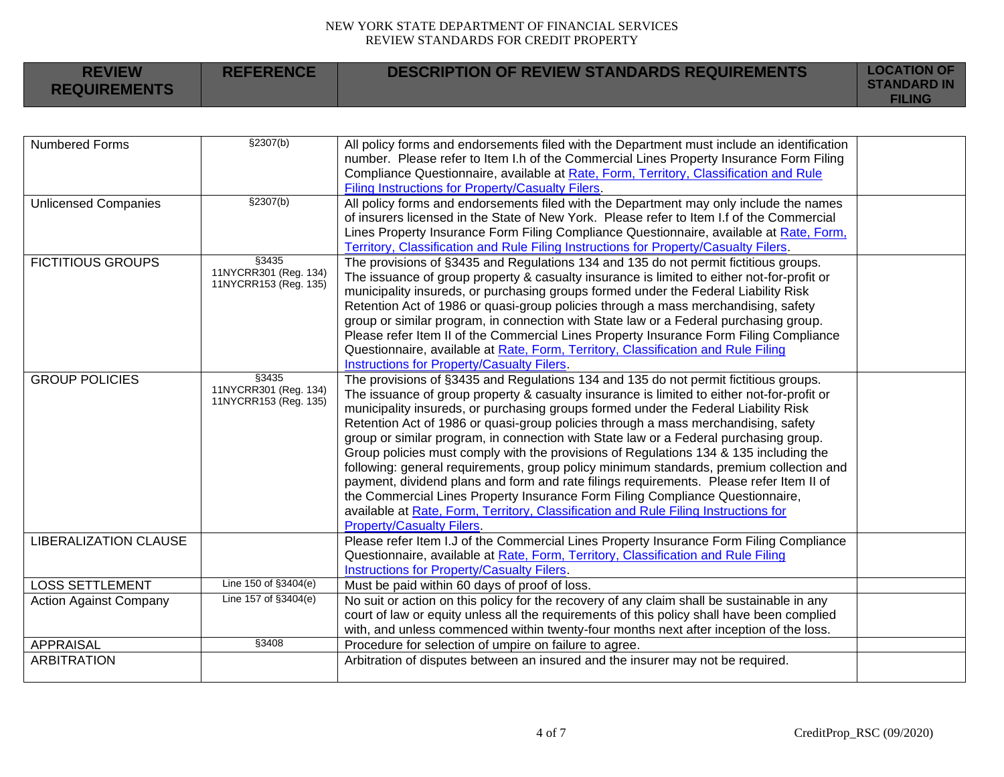**REFERENCE DESCRIPTION OF REVIEW STANDARDS REQUIREMENTS LOCATION OF** 

**REVIEW** 

| <b>REQUIREMENTS</b>           |                                                          |                                                                                                                                                                                                                                                                                                                                                                                                                                                                                                                                                                                                                                                                                                                                                                                                                                                                                                                                                     | <b>STANDARD IN</b><br><b>FILING</b> |
|-------------------------------|----------------------------------------------------------|-----------------------------------------------------------------------------------------------------------------------------------------------------------------------------------------------------------------------------------------------------------------------------------------------------------------------------------------------------------------------------------------------------------------------------------------------------------------------------------------------------------------------------------------------------------------------------------------------------------------------------------------------------------------------------------------------------------------------------------------------------------------------------------------------------------------------------------------------------------------------------------------------------------------------------------------------------|-------------------------------------|
|                               |                                                          |                                                                                                                                                                                                                                                                                                                                                                                                                                                                                                                                                                                                                                                                                                                                                                                                                                                                                                                                                     |                                     |
| <b>Numbered Forms</b>         | $\sqrt{(b)}$                                             | All policy forms and endorsements filed with the Department must include an identification<br>number. Please refer to Item I.h of the Commercial Lines Property Insurance Form Filing<br>Compliance Questionnaire, available at Rate, Form, Territory, Classification and Rule<br>Filing Instructions for Property/Casualty Filers.                                                                                                                                                                                                                                                                                                                                                                                                                                                                                                                                                                                                                 |                                     |
| <b>Unlicensed Companies</b>   | \$2307(b)                                                | All policy forms and endorsements filed with the Department may only include the names<br>of insurers licensed in the State of New York. Please refer to Item I.f of the Commercial<br>Lines Property Insurance Form Filing Compliance Questionnaire, available at Rate, Form,<br>Territory, Classification and Rule Filing Instructions for Property/Casualty Filers.                                                                                                                                                                                                                                                                                                                                                                                                                                                                                                                                                                              |                                     |
| <b>FICTITIOUS GROUPS</b>      | §3435<br>11NYCRR301 (Reg. 134)<br>11NYCRR153 (Reg. 135)  | The provisions of §3435 and Regulations 134 and 135 do not permit fictitious groups.<br>The issuance of group property & casualty insurance is limited to either not-for-profit or<br>municipality insureds, or purchasing groups formed under the Federal Liability Risk<br>Retention Act of 1986 or quasi-group policies through a mass merchandising, safety<br>group or similar program, in connection with State law or a Federal purchasing group.<br>Please refer Item II of the Commercial Lines Property Insurance Form Filing Compliance<br>Questionnaire, available at Rate, Form, Territory, Classification and Rule Filing<br>Instructions for Property/Casualty Filers.                                                                                                                                                                                                                                                               |                                     |
| <b>GROUP POLICIES</b>         | \$3435<br>11NYCRR301 (Reg. 134)<br>11NYCRR153 (Reg. 135) | The provisions of §3435 and Regulations 134 and 135 do not permit fictitious groups.<br>The issuance of group property & casualty insurance is limited to either not-for-profit or<br>municipality insureds, or purchasing groups formed under the Federal Liability Risk<br>Retention Act of 1986 or quasi-group policies through a mass merchandising, safety<br>group or similar program, in connection with State law or a Federal purchasing group.<br>Group policies must comply with the provisions of Regulations 134 & 135 including the<br>following: general requirements, group policy minimum standards, premium collection and<br>payment, dividend plans and form and rate filings requirements. Please refer Item II of<br>the Commercial Lines Property Insurance Form Filing Compliance Questionnaire,<br>available at Rate, Form, Territory, Classification and Rule Filing Instructions for<br><b>Property/Casualty Filers.</b> |                                     |
| <b>LIBERALIZATION CLAUSE</b>  |                                                          | Please refer Item I.J of the Commercial Lines Property Insurance Form Filing Compliance<br>Questionnaire, available at Rate, Form, Territory, Classification and Rule Filing<br><b>Instructions for Property/Casualty Filers.</b>                                                                                                                                                                                                                                                                                                                                                                                                                                                                                                                                                                                                                                                                                                                   |                                     |
| <b>LOSS SETTLEMENT</b>        | Line 150 of §3404(e)                                     | Must be paid within 60 days of proof of loss.                                                                                                                                                                                                                                                                                                                                                                                                                                                                                                                                                                                                                                                                                                                                                                                                                                                                                                       |                                     |
| <b>Action Against Company</b> | Line 157 of §3404(e)                                     | No suit or action on this policy for the recovery of any claim shall be sustainable in any<br>court of law or equity unless all the requirements of this policy shall have been complied<br>with, and unless commenced within twenty-four months next after inception of the loss.                                                                                                                                                                                                                                                                                                                                                                                                                                                                                                                                                                                                                                                                  |                                     |
| <b>APPRAISAL</b>              | $\overline{\S}3408$                                      | Procedure for selection of umpire on failure to agree.                                                                                                                                                                                                                                                                                                                                                                                                                                                                                                                                                                                                                                                                                                                                                                                                                                                                                              |                                     |
| <b>ARBITRATION</b>            |                                                          | Arbitration of disputes between an insured and the insurer may not be required.                                                                                                                                                                                                                                                                                                                                                                                                                                                                                                                                                                                                                                                                                                                                                                                                                                                                     |                                     |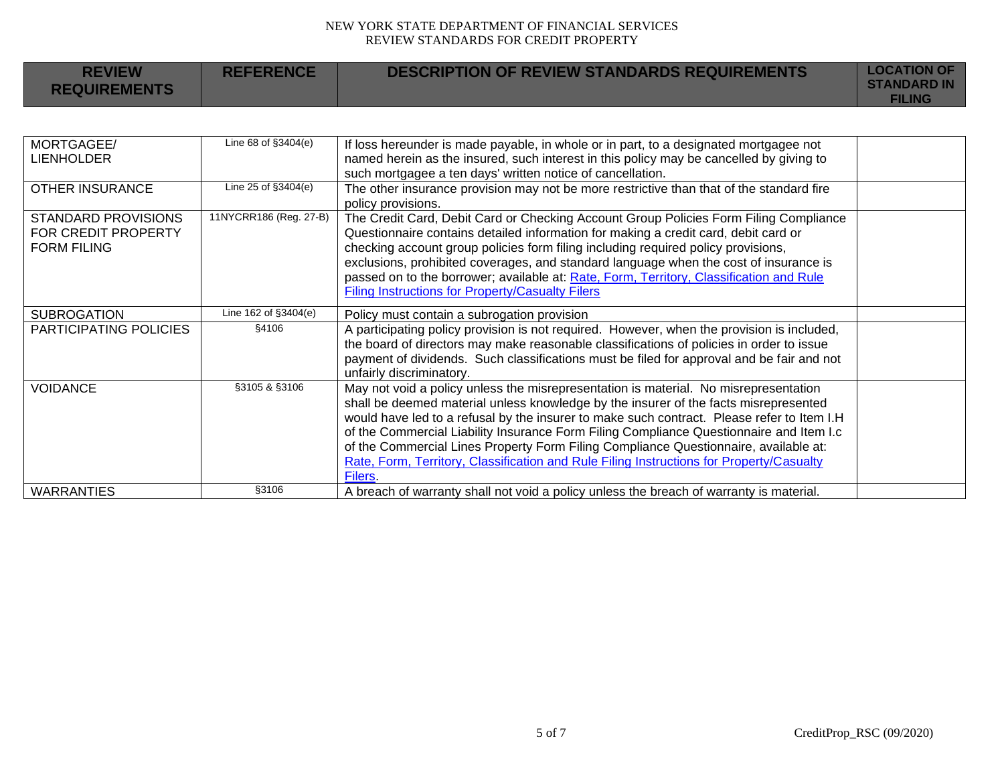| <b>REVIEW</b><br><b>REQUIREMENTS</b>                             | <b>REFERENCE</b>       | <b>DESCRIPTION OF REVIEW STANDARDS REQUIREMENTS</b>                                                                                                                                                                                                                                                                                                                                                                                                                                                                                                                  | <b>LOCATION OF</b><br><b>STANDARD IN</b><br><b>FILING</b> |
|------------------------------------------------------------------|------------------------|----------------------------------------------------------------------------------------------------------------------------------------------------------------------------------------------------------------------------------------------------------------------------------------------------------------------------------------------------------------------------------------------------------------------------------------------------------------------------------------------------------------------------------------------------------------------|-----------------------------------------------------------|
|                                                                  |                        |                                                                                                                                                                                                                                                                                                                                                                                                                                                                                                                                                                      |                                                           |
| MORTGAGEE/<br><b>LIENHOLDER</b>                                  | Line 68 of §3404(e)    | If loss hereunder is made payable, in whole or in part, to a designated mortgagee not<br>named herein as the insured, such interest in this policy may be cancelled by giving to<br>such mortgagee a ten days' written notice of cancellation.                                                                                                                                                                                                                                                                                                                       |                                                           |
| <b>OTHER INSURANCE</b>                                           | Line 25 of §3404(e)    | The other insurance provision may not be more restrictive than that of the standard fire<br>policy provisions.                                                                                                                                                                                                                                                                                                                                                                                                                                                       |                                                           |
| STANDARD PROVISIONS<br>FOR CREDIT PROPERTY<br><b>FORM FILING</b> | 11NYCRR186 (Reg. 27-B) | The Credit Card, Debit Card or Checking Account Group Policies Form Filing Compliance<br>Questionnaire contains detailed information for making a credit card, debit card or<br>checking account group policies form filing including required policy provisions,<br>exclusions, prohibited coverages, and standard language when the cost of insurance is<br>passed on to the borrower; available at: Rate, Form, Territory, Classification and Rule<br><b>Filing Instructions for Property/Casualty Filers</b>                                                     |                                                           |
| <b>SUBROGATION</b>                                               | Line 162 of §3404(e)   | Policy must contain a subrogation provision                                                                                                                                                                                                                                                                                                                                                                                                                                                                                                                          |                                                           |
| PARTICIPATING POLICIES                                           | §4106                  | A participating policy provision is not required. However, when the provision is included,<br>the board of directors may make reasonable classifications of policies in order to issue<br>payment of dividends. Such classifications must be filed for approval and be fair and not<br>unfairly discriminatory.                                                                                                                                                                                                                                                      |                                                           |
| <b>VOIDANCE</b>                                                  | §3105 & §3106          | May not void a policy unless the misrepresentation is material. No misrepresentation<br>shall be deemed material unless knowledge by the insurer of the facts misrepresented<br>would have led to a refusal by the insurer to make such contract. Please refer to Item I.H<br>of the Commercial Liability Insurance Form Filing Compliance Questionnaire and Item I.c<br>of the Commercial Lines Property Form Filing Compliance Questionnaire, available at:<br>Rate, Form, Territory, Classification and Rule Filing Instructions for Property/Casualty<br>Filers. |                                                           |
| <b>WARRANTIES</b>                                                | §3106                  | A breach of warranty shall not void a policy unless the breach of warranty is material.                                                                                                                                                                                                                                                                                                                                                                                                                                                                              |                                                           |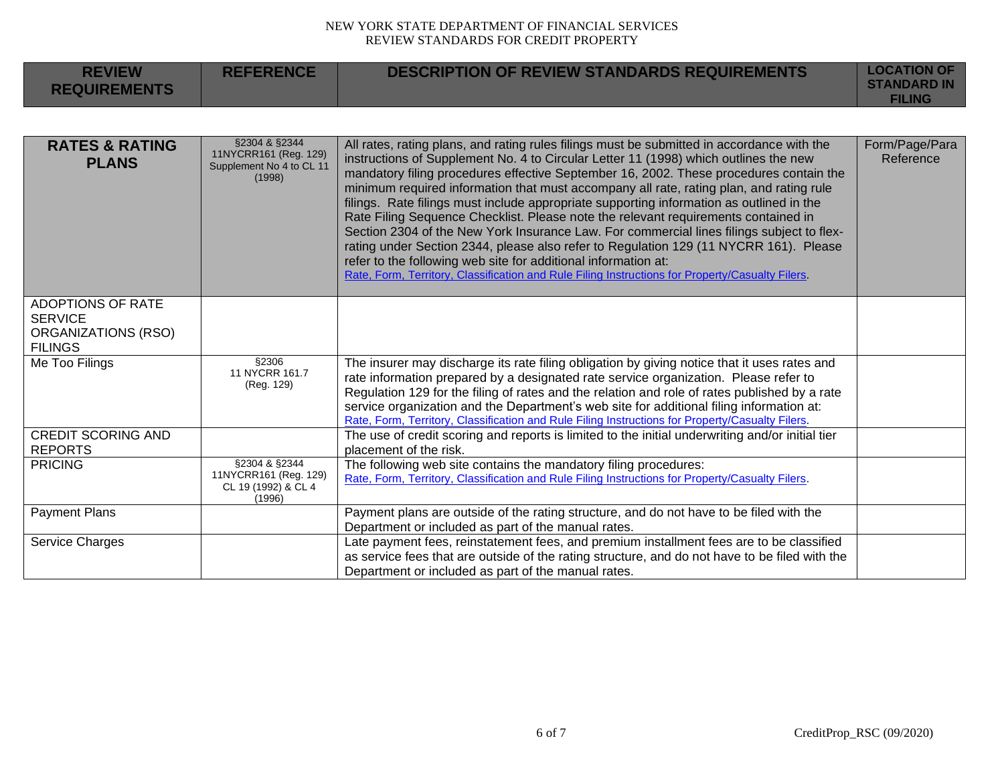| <b>REVIEW</b><br><b>REQUIREMENTS</b>                                                | <b>REFERENCE</b>                                                             | <b>DESCRIPTION OF REVIEW STANDARDS REQUIREMENTS</b>                                                                                                                                                                                                                                                                                                                                                                                                                                                                                                                                                                                                                                                                                                                                                                                                                                                                   | <b>LOCATION OF</b><br><b>STANDARD IN</b><br><b>FILING</b> |
|-------------------------------------------------------------------------------------|------------------------------------------------------------------------------|-----------------------------------------------------------------------------------------------------------------------------------------------------------------------------------------------------------------------------------------------------------------------------------------------------------------------------------------------------------------------------------------------------------------------------------------------------------------------------------------------------------------------------------------------------------------------------------------------------------------------------------------------------------------------------------------------------------------------------------------------------------------------------------------------------------------------------------------------------------------------------------------------------------------------|-----------------------------------------------------------|
|                                                                                     |                                                                              |                                                                                                                                                                                                                                                                                                                                                                                                                                                                                                                                                                                                                                                                                                                                                                                                                                                                                                                       |                                                           |
| <b>RATES &amp; RATING</b><br><b>PLANS</b>                                           | §2304 & §2344<br>11NYCRR161 (Reg. 129)<br>Supplement No 4 to CL 11<br>(1998) | All rates, rating plans, and rating rules filings must be submitted in accordance with the<br>instructions of Supplement No. 4 to Circular Letter 11 (1998) which outlines the new<br>mandatory filing procedures effective September 16, 2002. These procedures contain the<br>minimum required information that must accompany all rate, rating plan, and rating rule<br>filings. Rate filings must include appropriate supporting information as outlined in the<br>Rate Filing Sequence Checklist. Please note the relevant requirements contained in<br>Section 2304 of the New York Insurance Law. For commercial lines filings subject to flex-<br>rating under Section 2344, please also refer to Regulation 129 (11 NYCRR 161). Please<br>refer to the following web site for additional information at:<br>Rate, Form, Territory, Classification and Rule Filing Instructions for Property/Casualty Filers. | Form/Page/Para<br>Reference                               |
| ADOPTIONS OF RATE<br><b>SERVICE</b><br><b>ORGANIZATIONS (RSO)</b><br><b>FILINGS</b> |                                                                              |                                                                                                                                                                                                                                                                                                                                                                                                                                                                                                                                                                                                                                                                                                                                                                                                                                                                                                                       |                                                           |
| Me Too Filings                                                                      | §2306<br>11 NYCRR 161.7<br>(Reg. 129)                                        | The insurer may discharge its rate filing obligation by giving notice that it uses rates and<br>rate information prepared by a designated rate service organization. Please refer to<br>Regulation 129 for the filing of rates and the relation and role of rates published by a rate<br>service organization and the Department's web site for additional filing information at:<br>Rate, Form, Territory, Classification and Rule Filing Instructions for Property/Casualty Filers.                                                                                                                                                                                                                                                                                                                                                                                                                                 |                                                           |
| <b>CREDIT SCORING AND</b><br><b>REPORTS</b>                                         |                                                                              | The use of credit scoring and reports is limited to the initial underwriting and/or initial tier<br>placement of the risk.                                                                                                                                                                                                                                                                                                                                                                                                                                                                                                                                                                                                                                                                                                                                                                                            |                                                           |
| <b>PRICING</b>                                                                      | §2304 & §2344<br>11NYCRR161 (Reg. 129)<br>CL 19 (1992) & CL 4<br>(1996)      | The following web site contains the mandatory filing procedures:<br>Rate, Form, Territory, Classification and Rule Filing Instructions for Property/Casualty Filers.                                                                                                                                                                                                                                                                                                                                                                                                                                                                                                                                                                                                                                                                                                                                                  |                                                           |
| <b>Payment Plans</b>                                                                |                                                                              | Payment plans are outside of the rating structure, and do not have to be filed with the<br>Department or included as part of the manual rates.                                                                                                                                                                                                                                                                                                                                                                                                                                                                                                                                                                                                                                                                                                                                                                        |                                                           |
| Service Charges                                                                     |                                                                              | Late payment fees, reinstatement fees, and premium installment fees are to be classified<br>as service fees that are outside of the rating structure, and do not have to be filed with the<br>Department or included as part of the manual rates.                                                                                                                                                                                                                                                                                                                                                                                                                                                                                                                                                                                                                                                                     |                                                           |